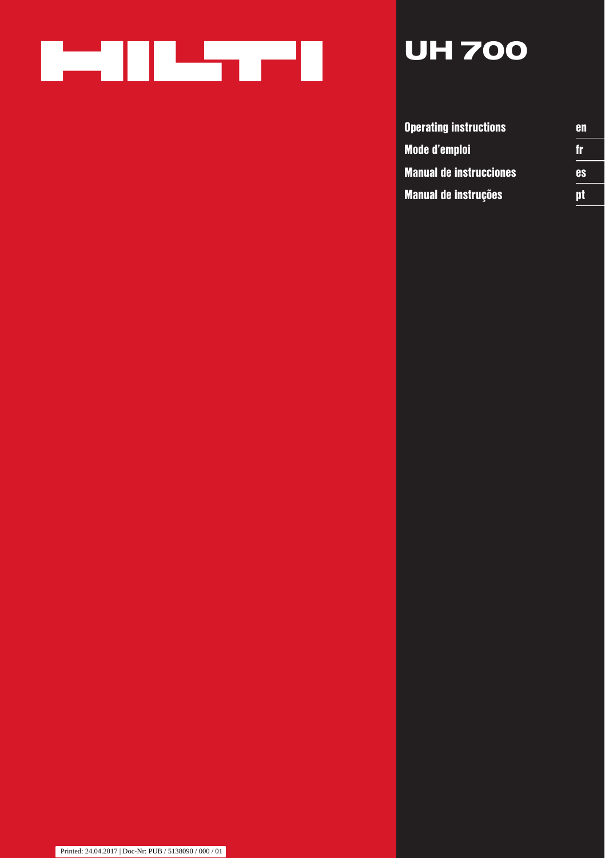

# UH 700

| <b>Operating instructions</b>  | en        |
|--------------------------------|-----------|
| Mode d'emploi                  | fr        |
| <b>Manual de instrucciones</b> | <b>PS</b> |
| <b>Manual de instruções</b>    | Int       |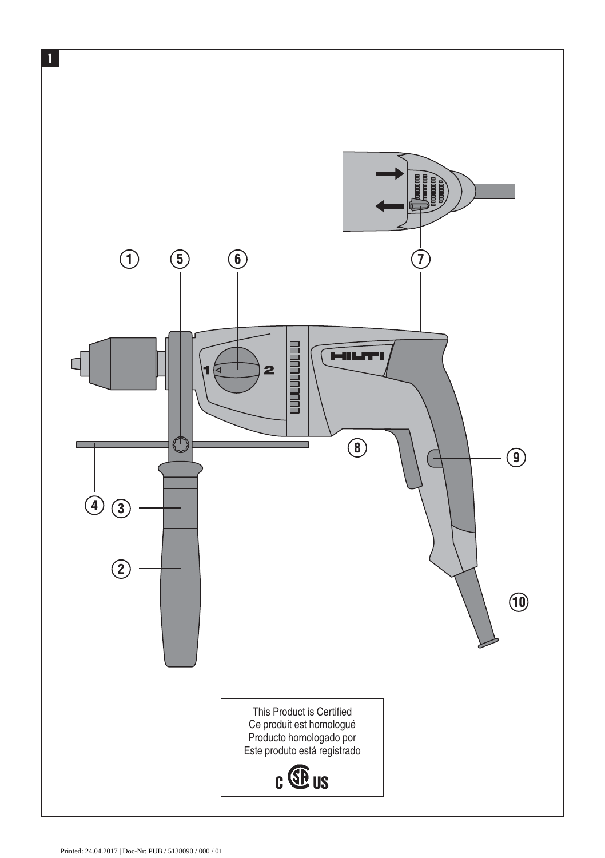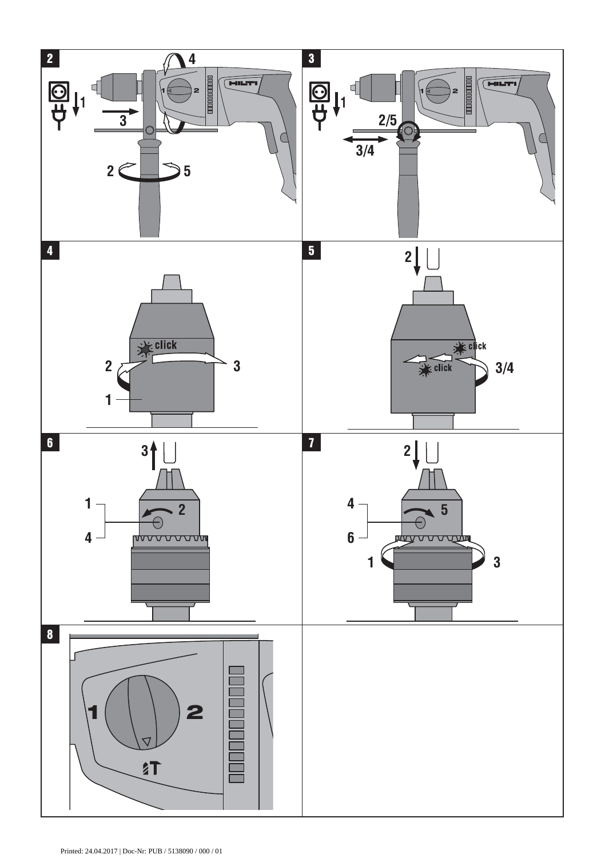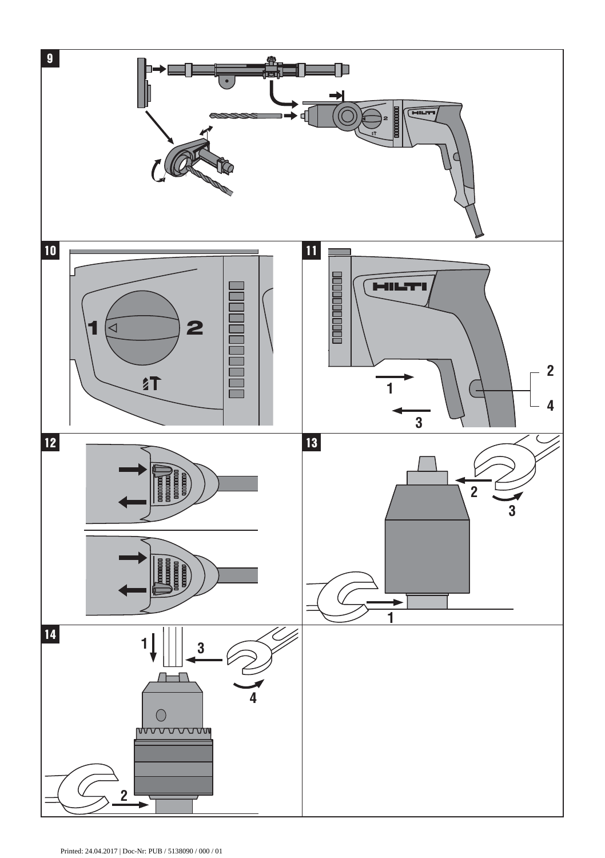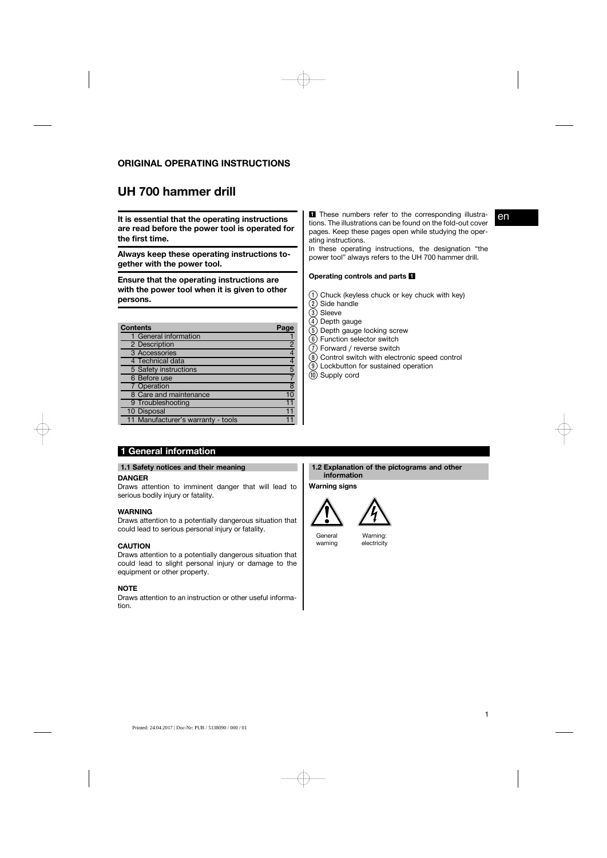# **ORIGINAL OPERATING INSTRUCTIONS**

# **UH 700 hammer drill**

**It is essential that the operating instructions are read before the power tool is operated for the first time.**

**Always keep these operating instructions together with the power tool.**

**Ensure that the operating instructions are with the power tool when it is given to other persons.**

| <b>Contents</b>              | Page |
|------------------------------|------|
| 1 General information        |      |
| 2 Description                |      |
| 3 Accessories                |      |
| 4 Technical data             |      |
| 5 Safety instructions        |      |
| 6 Before use                 |      |
| Operation                    |      |
| 8 Care and maintenance       |      |
| 9 Troubleshooting            |      |
| 10 Disposal                  |      |
| 11 Manufacturer's warranty - |      |

**1** These numbers refer to the corresponding illustrations. The illustrations can be found on the fold-out cover pages. Keep these pages open while studying the operating instructions.

In these operating instructions, the designation "the power tool" always refers to the UH 700 hammer drill.

#### **Operating controls and parts**

- @ Chuck (keyless chuck or key chuck with key)
- (2) Side handle
- $\overline{3}$ ) Sleeve
- (4) Depth gauge
- & Depth gauge locking screw
- (6) Function selector switch
- ) Forward / reverse switch
- (8) Control switch with electronic speed control
- § Lockbutton for sustained operation
- / Supply cord

# **1 General information**

#### **1.1 Safety notices and their meaning**

#### **DANGER**

Draws attention to imminent danger that will lead to serious bodily injury or fatality.

#### **WARNING**

Draws attention to a potentially dangerous situation that could lead to serious personal injury or fatality.

#### **CAUTION**

Draws attention to a potentially dangerous situation that could lead to slight personal injury or damage to the equipment or other property.

#### **NOTE**

Draws attention to an instruction or other useful information.

#### **1.2 Explanation of the pictograms and other information**

#### **Warning signs**



General warning



Warning: electricity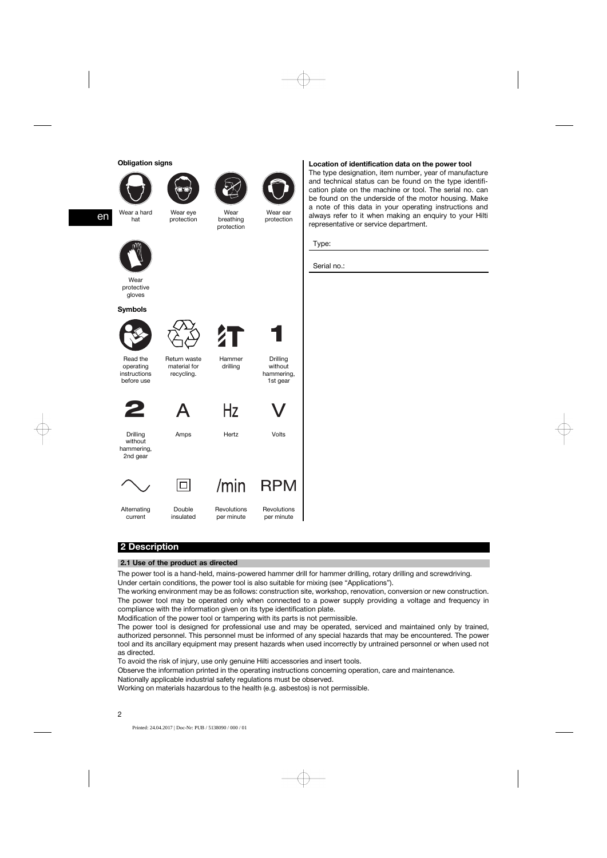#### **Obligation signs**



Wear a hard hat



Wear eye protection





Wear breathing protection

Wear ear protection

#### **Location of identification data on the power tool**

The type designation, item number, year of manufacture and technical status can be found on the type identification plate on the machine or tool. The serial no. can be found on the underside of the motor housing. Make a note of this data in your operating instructions and always refer to it when making an enquiry to your Hilti representative or service department.

Type:

Serial no.:

en



**Wear** protective gloves

#### **Symbols**



Read the operating instructions before use Return waste material for recycling.

Hammer drilling

Drilling without hammering, 1st gear

**1**

**2**

Drilling without hammering, 2nd gear



 $\Box$ 

Alternating current

Double insulated

Revolutions per minute

Amps Hertz Volts

/min

H7

Revolutions per minute

**RPM** 

# **2 Description**

#### **2.1 Use of the product as directed**

The power tool is a hand-held, mains-powered hammer drill for hammer drilling, rotary drilling and screwdriving. Under certain conditions, the power tool is also suitable for mixing (see "Applications").

The working environment may be as follows: construction site, workshop, renovation, conversion or new construction. The power tool may be operated only when connected to a power supply providing a voltage and frequency in

compliance with the information given on its type identification plate. Modification of the power tool or tampering with its parts is not permissible.

The power tool is designed for professional use and may be operated, serviced and maintained only by trained, authorized personnel. This personnel must be informed of any special hazards that may be encountered. The power tool and its ancillary equipment may present hazards when used incorrectly by untrained personnel or when used not as directed.

To avoid the risk of injury, use only genuine Hilti accessories and insert tools.

Observe the information printed in the operating instructions concerning operation, care and maintenance.

Nationally applicable industrial safety regulations must be observed.

Working on materials hazardous to the health (e.g. asbestos) is not permissible.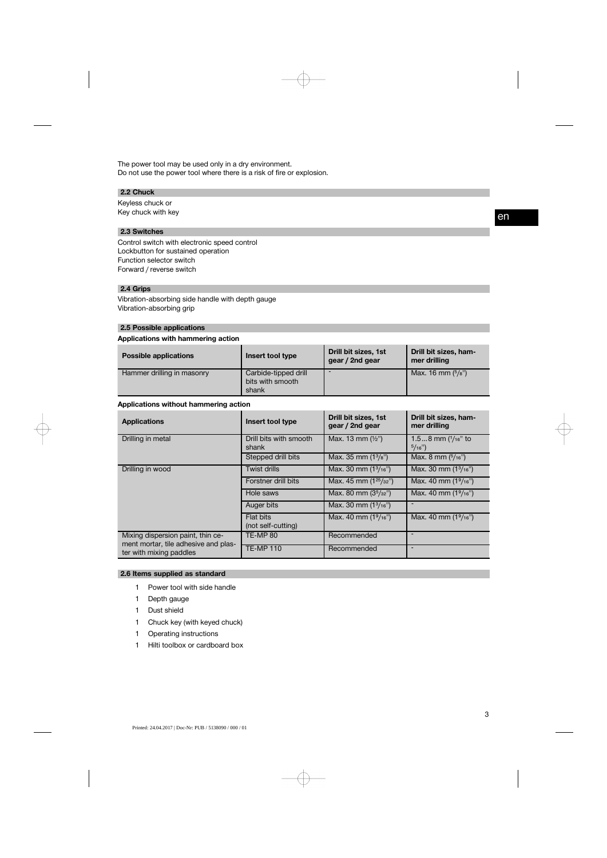The power tool may be used only in a dry environment. Do not use the power tool where there is a risk of fire or explosion.

### **2.2 Chuck**

Keyless chuck or Key chuck with key

### **2.3 Switches**

Control switch with electronic speed control Lockbutton for sustained operation Function selector switch Forward / reverse switch

### **2.4 Grips**

Vibration-absorbing side handle with depth gauge Vibration-absorbing grip

#### **2.5 Possible applications**

# **Applications with hammering action**

| Possible applications      | Insert tool type                                  | Drill bit sizes, 1st<br>gear / 2nd gear | Drill bit sizes, ham-<br>mer drilling |
|----------------------------|---------------------------------------------------|-----------------------------------------|---------------------------------------|
| Hammer drilling in masonry | Carbide-tipped drill<br>bits with smooth<br>shank |                                         | Max. 16 mm $(5/s")$                   |

# **Applications without hammering action**

| <b>Applications</b>                                                                                  | Insert tool type                | Drill bit sizes, 1st<br>gear / 2nd gear | Drill bit sizes, ham-<br>mer drilling     |
|------------------------------------------------------------------------------------------------------|---------------------------------|-----------------------------------------|-------------------------------------------|
| Drilling in metal                                                                                    | Drill bits with smooth<br>shank | Max. 13 mm $(\frac{1}{2})$              | $1.58$ mm $(^{1}/_{16}$ " to<br>$5/16$ ") |
|                                                                                                      | Stepped drill bits              | Max. 35 mm $(1^3/s'')$                  | Max. 8 mm $(5/16")$                       |
| Drilling in wood                                                                                     | <b>Twist drills</b>             | Max. 30 mm $(13/161)$                   | Max. 30 mm $(13/16")$                     |
|                                                                                                      | Forstner drill bits             | Max. 45 mm $(1^{25}/32^{\circ})$        | Max. 40 mm (1 <sup>9</sup> /16")          |
|                                                                                                      | Hole saws                       | Max. 80 mm $(35/32'')$                  | Max. 40 mm (1 <sup>9</sup> /16")          |
|                                                                                                      | Auger bits                      | Max. 30 mm (13/16")                     |                                           |
|                                                                                                      | Flat bits<br>(not self-cutting) | Max. 40 mm (1 <sup>9</sup> /16")        | Max. 40 mm $(1\frac{9}{16})$              |
| Mixing dispersion paint, thin ce-<br>ment mortar, tile adhesive and plas-<br>ter with mixing paddles | <b>TE-MP 80</b>                 | Recommended                             |                                           |
|                                                                                                      | <b>TE-MP 110</b>                | Recommended                             |                                           |

### **2.6 Items supplied as standard**

- 1 Power tool with side handle
- 1 Depth gauge
- 1 Dust shield
- 1 Chuck key (with keyed chuck)
- 1 Operating instructions
- 1 Hilti toolbox or cardboard box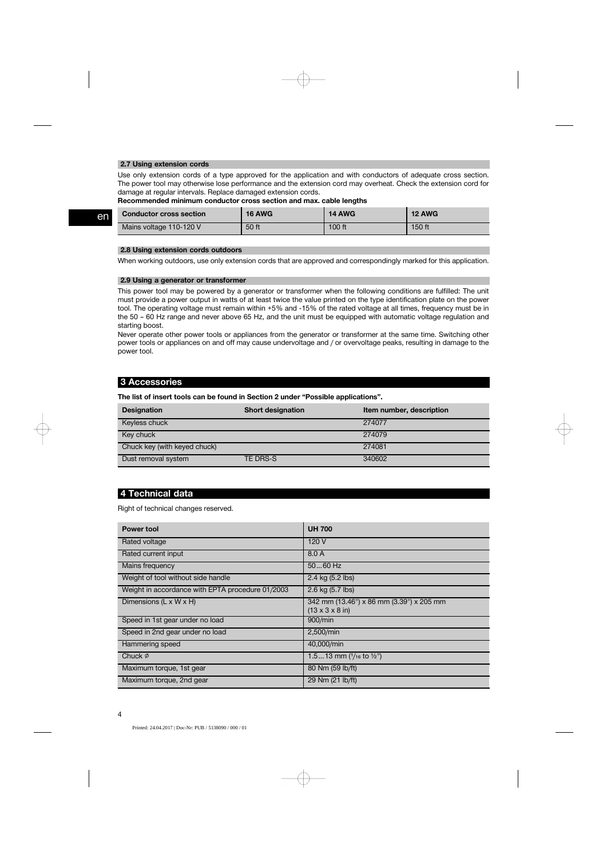#### **2.7 Using extension cords**

Use only extension cords of a type approved for the application and with conductors of adequate cross section. The power tool may otherwise lose performance and the extension cord may overheat. Check the extension cord for damage at regular intervals. Replace damaged extension cords.

| Recommended minimum conductor cross section and max. cable lengths |
|--------------------------------------------------------------------|
|--------------------------------------------------------------------|

| <b>Conductor cross section</b> | <b>16 AWG</b> | <b>14 AWG</b> | <b>12 AWG</b> |
|--------------------------------|---------------|---------------|---------------|
| Mains voltage 110-120 V        | 50 ft         | 100 ft        | 150 ft        |

#### **2.8 Using extension cords outdoors**

When working outdoors, use only extension cords that are approved and correspondingly marked for this application.

#### **2.9 Using a generator or transformer**

This power tool may be powered by a generator or transformer when the following conditions are fulfilled: The unit must provide a power output in watts of at least twice the value printed on the type identification plate on the power tool. The operating voltage must remain within +5% and -15% of the rated voltage at all times, frequency must be in the 50 – 60 Hz range and never above 65 Hz, and the unit must be equipped with automatic voltage regulation and starting boost.

Never operate other power tools or appliances from the generator or transformer at the same time. Switching other power tools or appliances on and off may cause undervoltage and / or overvoltage peaks, resulting in damage to the power tool.

#### **3 Accessories**

**The list of insert tools can be found in Section 2 under "Possible applications".**

| <b>Designation</b>           | <b>Short designation</b> | Item number, description |
|------------------------------|--------------------------|--------------------------|
| Keyless chuck                |                          | 274077                   |
| Key chuck                    |                          | 274079                   |
| Chuck key (with keyed chuck) |                          | 274081                   |
| Dust removal system          | TE DRS-S                 | 340602                   |

# **4 Technical data**

Right of technical changes reserved.

| <b>Power tool</b>                                | <b>UH 700</b>                                                            |
|--------------------------------------------------|--------------------------------------------------------------------------|
| Rated voltage                                    | 120 V                                                                    |
| Rated current input                              | 8.0 A                                                                    |
| Mains frequency                                  | 5060 Hz                                                                  |
| Weight of tool without side handle               | 2.4 kg (5.2 lbs)                                                         |
| Weight in accordance with EPTA procedure 01/2003 | 2.6 kg (5.7 lbs)                                                         |
| Dimensions $(L \times W \times H)$               | 342 mm (13.46") x 86 mm (3.39") x 205 mm<br>$(13 \times 3 \times 8)$ in) |
| Speed in 1st gear under no load                  | 900/min                                                                  |
| Speed in 2nd gear under no load                  | 2,500/min                                                                |
| Hammering speed                                  | 40,000/min                                                               |
| Chuck $\emptyset$                                | 1.513 mm $(1/16$ to $1/2$ <sup>n</sup> )                                 |
| Maximum torque, 1st gear                         | 80 Nm (59 lb/ft)                                                         |
| Maximum torque, 2nd gear                         | 29 Nm (21 lb/ft)                                                         |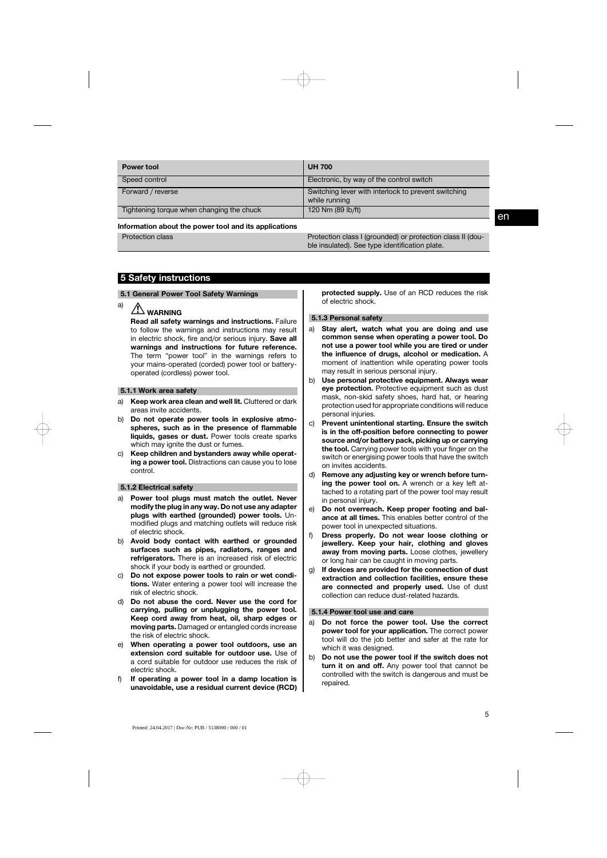| Power tool                                            | <b>UH 700</b>                                                        |
|-------------------------------------------------------|----------------------------------------------------------------------|
| Speed control                                         | Electronic, by way of the control switch                             |
| Forward / reverse                                     | Switching lever with interlock to prevent switching<br>while running |
| Tightening torque when changing the chuck             | 120 Nm (89 lb/ft)                                                    |
| Information about the power tool and its applications |                                                                      |

### **Information about the power tool and its applications**

Protection class Protection class II (dou-<br>
Protection class II (double insulated). See type identification plate.

# **5 Safety instructions**

**5.1 General Power Tool Safety Warnings**

#### a)

# **WARNING**

**Read all safety warnings and instructions.** Failure to follow the warnings and instructions may result in electric shock, fire and/or serious injury. **Save all warnings and instructions for future reference.** The term "power tool" in the warnings refers to your mains-operated (corded) power tool or batteryoperated (cordless) power tool.

#### **5.1.1 Work area safety**

- a) **Keep work area clean and well lit.** Cluttered or dark areas invite accidents.
- b) **Do not operate power tools in explosive atmospheres, such as in the presence of flammable liquids, gases or dust.** Power tools create sparks which may ignite the dust or fumes.
- c) **Keep children and bystanders away while operating a power tool.** Distractions can cause you to lose control.

#### **5.1.2 Electrical safety**

- a) **Power tool plugs must match the outlet. Never modify the plug in any way. Do not use any adapter plugs with earthed (grounded) power tools.** Unmodified plugs and matching outlets will reduce risk of electric shock.
- b) **Avoid body contact with earthed or grounded surfaces such as pipes, radiators, ranges and refrigerators.** There is an increased risk of electric shock if your body is earthed or grounded.
- c) **Do not expose power tools to rain or wet conditions.** Water entering a power tool will increase the risk of electric shock.
- d) **Do not abuse the cord. Never use the cord for carrying, pulling or unplugging the power tool. Keep cord away from heat, oil, sharp edges or moving parts.** Damaged or entangled cords increase the risk of electric shock.
- e) **When operating a power tool outdoors, use an extension cord suitable for outdoor use.** Use of a cord suitable for outdoor use reduces the risk of electric shock.
- f) **If operating a power tool in a damp location is unavoidable, use a residual current device (RCD)**

**protected supply.** Use of an RCD reduces the risk of electric shock.

## **5.1.3 Personal safety**

- a) **Stay alert, watch what you are doing and use common sense when operating a power tool. Do not use a power tool while you are tired or under the influence of drugs, alcohol or medication.** A moment of inattention while operating power tools may result in serious personal injury.
- b) **Use personal protective equipment. Always wear eye protection.** Protective equipment such as dust mask, non-skid safety shoes, hard hat, or hearing protection used for appropriate conditions will reduce personal injuries.
- c) **Prevent unintentional starting. Ensure the switch is in the off‐position before connecting to power source and/or battery pack, picking up or carrying the tool.** Carrying power tools with your finger on the switch or energising power tools that have the switch on invites accidents.
- d) **Remove any adjusting key or wrench before turning the power tool on.** A wrench or a key left attached to a rotating part of the power tool may result in personal injury.
- e) **Do not overreach. Keep proper footing and balance at all times.** This enables better control of the power tool in unexpected situations.
- f) **Dress properly. Do not wear loose clothing or jewellery. Keep your hair, clothing and gloves away from moving parts.** Loose clothes, jewellery or long hair can be caught in moving parts.
- g) **If devices are provided for the connection of dust extraction and collection facilities, ensure these are connected and properly used.** Use of dust collection can reduce dust-related hazards.

#### **5.1.4 Power tool use and care**

- a) **Do not force the power tool. Use the correct power tool for your application.** The correct power tool will do the job better and safer at the rate for which it was designed.
- b) **Do not use the power tool if the switch does not turn it on and off.** Any power tool that cannot be controlled with the switch is dangerous and must be repaired.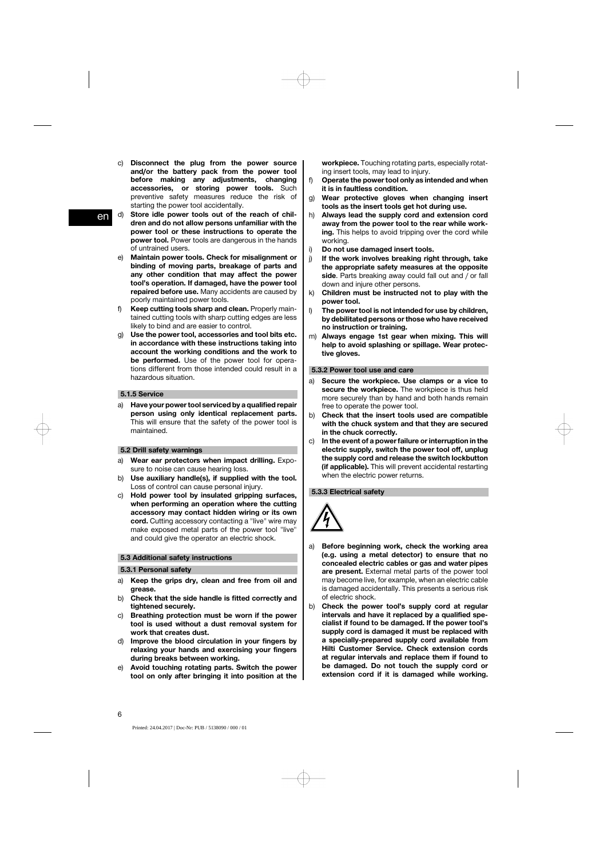- c) **Disconnect the plug from the power source and/or the battery pack from the power tool before making any adjustments, changing accessories, or storing power tools.** Such preventive safety measures reduce the risk of starting the power tool accidentally.
- en
- Store idle power tools out of the reach of chil**dren and do not allow persons unfamiliar with the power tool or these instructions to operate the power tool.** Power tools are dangerous in the hands of untrained users.
	- e) **Maintain power tools. Check for misalignment or binding of moving parts, breakage of parts and any other condition that may affect the power tool's operation. If damaged, have the power tool repaired before use.** Many accidents are caused by poorly maintained power tools.
	- f) **Keep cutting tools sharp and clean.** Properly maintained cutting tools with sharp cutting edges are less likely to bind and are easier to control.
	- g) **Use the power tool, accessories and tool bits etc. in accordance with these instructions taking into account the working conditions and the work to be performed.** Use of the power tool for operations different from those intended could result in a hazardous situation.

#### **5.1.5 Service**

a) **Have your power tool serviced by a qualified repair person using only identical replacement parts.** This will ensure that the safety of the power tool is maintained.

#### **5.2 Drill safety warnings**

- a) **Wear ear protectors when impact drilling.** Exposure to noise can cause hearing loss.
- b) **Use auxiliary handle(s), if supplied with the tool.** Loss of control can cause personal injury.
- c) **Hold power tool by insulated gripping surfaces, when performing an operation where the cutting accessory may contact hidden wiring or its own cord.** Cutting accessory contacting a "live" wire may make exposed metal parts of the power tool "live" and could give the operator an electric shock.

#### **5.3 Additional safety instructions**

### **5.3.1 Personal safety**

- a) **Keep the grips dry, clean and free from oil and grease.**
- b) **Check that the side handle is fitted correctly and tightened securely.**
- c) **Breathing protection must be worn if the power tool is used without a dust removal system for work that creates dust.**
- d) **Improve the blood circulation in your fingers by relaxing your hands and exercising your fingers during breaks between working.**
- e) **Avoid touching rotating parts. Switch the power tool on only after bringing it into position at the**

**workpiece.** Touching rotating parts, especially rotating insert tools, may lead to injury.

- f) **Operate the power tool only as intended and when it is in faultless condition.**
- g) **Wear protective gloves when changing insert tools as the insert tools get hot during use.**
- h) **Always lead the supply cord and extension cord away from the power tool to the rear while working.** This helps to avoid tripping over the cord while working.
- i) **Do not use damaged insert tools.**
- If the work involves breaking right through, take **the appropriate safety measures at the opposite side**. Parts breaking away could fall out and / or fall down and injure other persons.
- k) **Children must be instructed not to play with the power tool.**
- l) **The power tool is not intended for use by children, by debilitated persons or those who have received no instruction or training.**
- m) **Always engage 1st gear when mixing. This will help to avoid splashing or spillage. Wear protective gloves.**

#### **5.3.2 Power tool use and care**

- a) **Secure the workpiece. Use clamps or a vice to secure the workpiece.** The workpiece is thus held more securely than by hand and both hands remain free to operate the power tool.
- b) **Check that the insert tools used are compatible with the chuck system and that they are secured in the chuck correctly.**
- c) **In the event of a power failure or interruption in the electric supply, switch the power tool off, unplug the supply cord and release the switch lockbutton (if applicable).** This will prevent accidental restarting when the electric power returns.

#### **5.3.3 Electrical safety**



- a) **Before beginning work, check the working area (e.g. using a metal detector) to ensure that no concealed electric cables or gas and water pipes are present.** External metal parts of the power tool may become live, for example, when an electric cable is damaged accidentally. This presents a serious risk of electric shock.
- b) **Check the power tool's supply cord at regular intervals and have it replaced by a qualified specialist if found to be damaged. If the power tool's supply cord is damaged it must be replaced with a specially-prepared supply cord available from Hilti Customer Service. Check extension cords at regular intervals and replace them if found to be damaged. Do not touch the supply cord or extension cord if it is damaged while working.**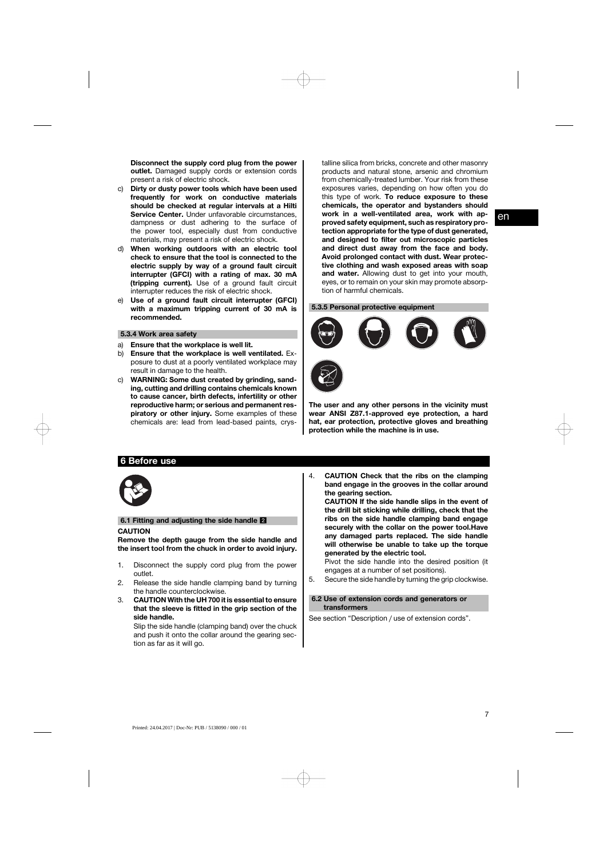**Disconnect the supply cord plug from the power outlet.** Damaged supply cords or extension cords present a risk of electric shock.

- c) **Dirty or dusty power tools which have been used frequently for work on conductive materials should be checked at regular intervals at a Hilti Service Center.** Under unfavorable circumstances, dampness or dust adhering to the surface of the power tool, especially dust from conductive materials, may present a risk of electric shock.
- d) **When working outdoors with an electric tool check to ensure that the tool is connected to the electric supply by way of a ground fault circuit interrupter (GFCI) with a rating of max. 30 mA (tripping current).** Use of a ground fault circuit interrupter reduces the risk of electric shock.
- e) **Use of a ground fault circuit interrupter (GFCI) with a maximum tripping current of 30 mA is recommended.**

#### **5.3.4 Work area safety**

- a) **Ensure that the workplace is well lit.**
- b) **Ensure that the workplace is well ventilated.** Exposure to dust at a poorly ventilated workplace may result in damage to the health.
- c) **WARNING: Some dust created by grinding, sanding, cutting and drilling contains chemicals known to cause cancer, birth defects, infertility or other reproductive harm; or serious and permanent respiratory or other injury.** Some examples of these chemicals are: lead from lead-based paints, crys-

talline silica from bricks, concrete and other masonry products and natural stone, arsenic and chromium from chemically-treated lumber. Your risk from these exposures varies, depending on how often you do this type of work. **To reduce exposure to these chemicals, the operator and bystanders should work in a well-ventilated area, work with approved safety equipment, such as respiratory protection appropriate for the type of dust generated, and designed to filter out microscopic particles and direct dust away from the face and body. Avoid prolonged contact with dust. Wear protective clothing and wash exposed areas with soap and water.** Allowing dust to get into your mouth, eyes, or to remain on your skin may promote absorption of harmful chemicals.

#### **5.3.5 Personal protective equipment**





**The user and any other persons in the vicinity must wear ANSI Z87.1-approved eye protection, a hard hat, ear protection, protective gloves and breathing protection while the machine is in use.**

#### **6 Before use**



### **6.1 Fitting and adjusting the side handle 2 CAUTION**

**Remove the depth gauge from the side handle and the insert tool from the chuck in order to avoid injury.**

- 1. Disconnect the supply cord plug from the power outlet.
- 2. Release the side handle clamping band by turning the handle counterclockwise.
- 3. **CAUTION With the UH 700 it is essential to ensure that the sleeve is fitted in the grip section of the side handle.**

Slip the side handle (clamping band) over the chuck and push it onto the collar around the gearing section as far as it will go.

4. **CAUTION Check that the ribs on the clamping band engage in the grooves in the collar around the gearing section.**

**CAUTION If the side handle slips in the event of the drill bit sticking while drilling, check that the ribs on the side handle clamping band engage securely with the collar on the power tool.Have any damaged parts replaced. The side handle will otherwise be unable to take up the torque generated by the electric tool.**

Pivot the side handle into the desired position (it engages at a number of set positions).

5. Secure the side handle by turning the grip clockwise.

#### **6.2 Use of extension cords and generators or transformers**

See section "Description / use of extension cords".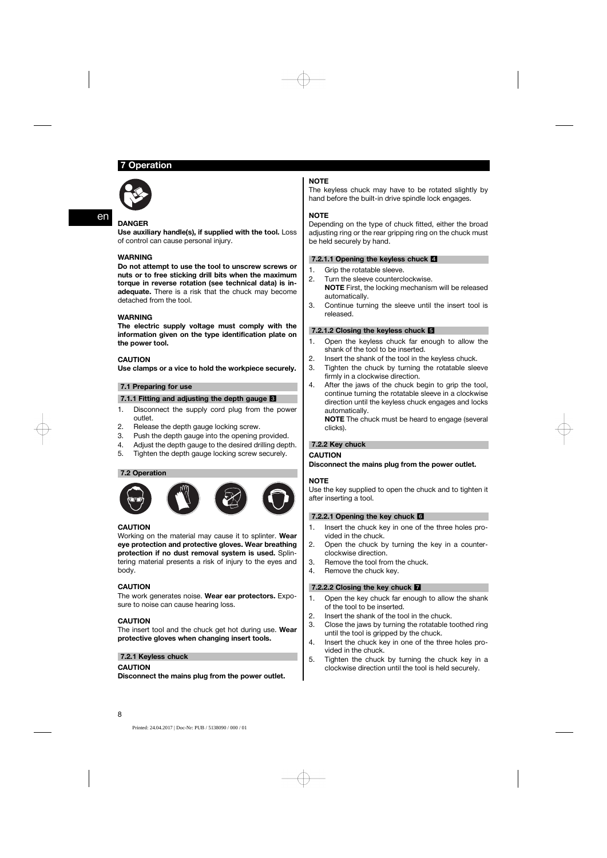# **7 Operation**



# **DANGER**

**Use auxiliary handle(s), if supplied with the tool.** Loss of control can cause personal injury.

#### **WARNING**

**Do not attempt to use the tool to unscrew screws or nuts or to free sticking drill bits when the maximum torque in reverse rotation (see technical data) is inadequate.** There is a risk that the chuck may become detached from the tool.

#### **WARNING**

**The electric supply voltage must comply with the information given on the type identification plate on the power tool.**

#### **CAUTION**

**Use clamps or a vice to hold the workpiece securely.**

### **7.1 Preparing for use**

#### **7.1.1 Fitting and adjusting the depth gauge**

- 1. Disconnect the supply cord plug from the power outlet.
- 2. Release the depth gauge locking screw.<br>3. Push the depth gauge into the opening
- Push the depth gauge into the opening provided.
- 4. Adjust the depth gauge to the desired drilling depth.
- 5. Tighten the depth gauge locking screw securely.

#### **7.2 Operation**







#### **CAUTION**

Working on the material may cause it to splinter. **Wear eye protection and protective gloves. Wear breathing protection if no dust removal system is used.** Splintering material presents a risk of injury to the eyes and body.

#### **CAUTION**

The work generates noise. **Wear ear protectors.** Exposure to noise can cause hearing loss.

#### **CAUTION**

The insert tool and the chuck get hot during use. **Wear protective gloves when changing insert tools.**

## **7.2.1 Keyless chuck**

#### **CAUTION**

**Disconnect the mains plug from the power outlet.**

#### **NOTE**

The keyless chuck may have to be rotated slightly by hand before the built-in drive spindle lock engages.

#### **NOTE**

Depending on the type of chuck fitted, either the broad adjusting ring or the rear gripping ring on the chuck must be held securely by hand.

#### **7.2.1.1 Opening the keyless chuck** 4

- 1. Grip the rotatable sleeve.<br>2. Turn the sleeve countercl
- Turn the sleeve counterclockwise. **NOTE** First, the locking mechanism will be released automatically.
- 3. Continue turning the sleeve until the insert tool is released.

#### **7.2.1.2 Closing the keyless chuck 5**

- 1. Open the keyless chuck far enough to allow the shank of the tool to be inserted.
- 2. Insert the shank of the tool in the keyless chuck.<br>3. Tighten the chuck by turning the rotatable slee
- Tighten the chuck by turning the rotatable sleeve firmly in a clockwise direction.
- 4. After the jaws of the chuck begin to grip the tool, continue turning the rotatable sleeve in a clockwise direction until the keyless chuck engages and locks automatically.

**NOTE** The chuck must be heard to engage (several clicks).

#### **7.2.2 Key chuck**

# **CAUTION**

**Disconnect the mains plug from the power outlet.**

#### **NOTE**

Use the key supplied to open the chuck and to tighten it after inserting a tool.

#### **7.2.2.1 Opening the key chuck 6**

- 1. Insert the chuck key in one of the three holes provided in the chuck.
- 2. Open the chuck by turning the key in a counterclockwise direction.
- 3. Remove the tool from the chuck.<br>4. Remove the chuck kev.
- Remove the chuck key.

#### **7.2.2.2 Closing the key chuck** 7

- 1. Open the key chuck far enough to allow the shank of the tool to be inserted.
- 2. Insert the shank of the tool in the chuck.
- 3. Close the jaws by turning the rotatable toothed ring until the tool is gripped by the chuck.
- 4. Insert the chuck key in one of the three holes provided in the chuck.
- 5. Tighten the chuck by turning the chuck key in a clockwise direction until the tool is held securely.

en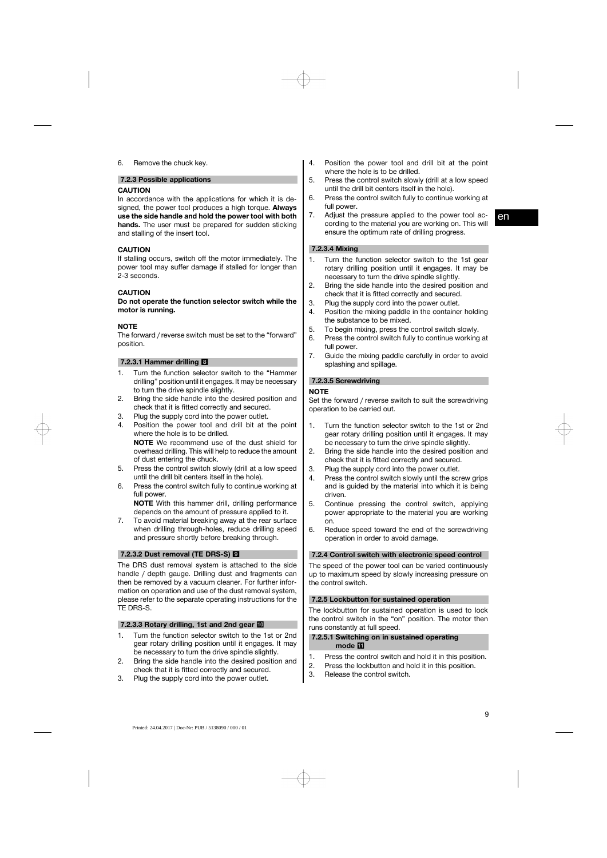6. Remove the chuck key.

# **7.2.3 Possible applications**

#### **CAUTION**

In accordance with the applications for which it is designed, the power tool produces a high torque. **Always use the side handle and hold the power tool with both hands.** The user must be prepared for sudden sticking and stalling of the insert tool.

#### **CAUTION**

If stalling occurs, switch off the motor immediately. The power tool may suffer damage if stalled for longer than 2-3 seconds.

#### **CAUTION**

#### **Do not operate the function selector switch while the motor is running.**

#### **NOTE**

The forward / reverse switch must be set to the "forward" position.

#### **7.2.3.1 Hammer drilling** 8

- 1. Turn the function selector switch to the "Hammer drilling" position until it engages. It may be necessary to turn the drive spindle slightly.
- 2. Bring the side handle into the desired position and check that it is fitted correctly and secured.
- 3. Plug the supply cord into the power outlet.
- 4. Position the power tool and drill bit at the point where the hole is to be drilled. **NOTE** We recommend use of the dust shield for overhead drilling. This will help to reduce the amount of dust entering the chuck.
- 5. Press the control switch slowly (drill at a low speed until the drill bit centers itself in the hole).
- 6. Press the control switch fully to continue working at full power.

**NOTE** With this hammer drill, drilling performance depends on the amount of pressure applied to it.

7. To avoid material breaking away at the rear surface when drilling through-holes, reduce drilling speed and pressure shortly before breaking through.

#### **7.2.3.2 Dust removal (TE DRS-S) 0**

The DRS dust removal system is attached to the side handle / depth gauge. Drilling dust and fragments can then be removed by a vacuum cleaner. For further information on operation and use of the dust removal system, please refer to the separate operating instructions for the TE DRS‑S.

#### **7.2.3.3 Rotary drilling, 1st and 2nd gear 10**

- 1. Turn the function selector switch to the 1st or 2nd gear rotary drilling position until it engages. It may be necessary to turn the drive spindle slightly.
- 2. Bring the side handle into the desired position and check that it is fitted correctly and secured.
- 3. Plug the supply cord into the power outlet.
- 4. Position the power tool and drill bit at the point where the hole is to be drilled.
- 5. Press the control switch slowly (drill at a low speed until the drill bit centers itself in the hole).
- 6. Press the control switch fully to continue working at full power.
- 7. Adjust the pressure applied to the power tool according to the material you are working on. This will ensure the optimum rate of drilling progress.

#### **7.2.3.4 Mixing**

- 1. Turn the function selector switch to the 1st gear rotary drilling position until it engages. It may be necessary to turn the drive spindle slightly.
- 2. Bring the side handle into the desired position and check that it is fitted correctly and secured.
- 3. Plug the supply cord into the power outlet.
- 4. Position the mixing paddle in the container holding the substance to be mixed.
- 5. To begin mixing, press the control switch slowly.<br>6. Press the control switch fully to continue working
- Press the control switch fully to continue working at full power.
- 7. Guide the mixing paddle carefully in order to avoid splashing and spillage.

#### **7.2.3.5 Screwdriving**

#### **NOTE**

Set the forward / reverse switch to suit the screwdriving operation to be carried out.

- 1. Turn the function selector switch to the 1st or 2nd gear rotary drilling position until it engages. It may be necessary to turn the drive spindle slightly.
- 2. Bring the side handle into the desired position and check that it is fitted correctly and secured.
- 3. Plug the supply cord into the power outlet.
- 4. Press the control switch slowly until the screw grips and is guided by the material into which it is being driven.
- 5. Continue pressing the control switch, applying power appropriate to the material you are working on.
- 6. Reduce speed toward the end of the screwdriving operation in order to avoid damage.

#### **7.2.4 Control switch with electronic speed control**

The speed of the power tool can be varied continuously up to maximum speed by slowly increasing pressure on the control switch.

#### **7.2.5 Lockbutton for sustained operation**

The lockbutton for sustained operation is used to lock the control switch in the "on" position. The motor then runs constantly at full speed.

### **7.2.5.1 Switching on in sustained operating mode** 11

- 1. Press the control switch and hold it in this position.<br>2. Press the lockbutton and hold it in this position
- 2. Press the lockbutton and hold it in this position.<br>3. Release the control switch.
- Release the control switch.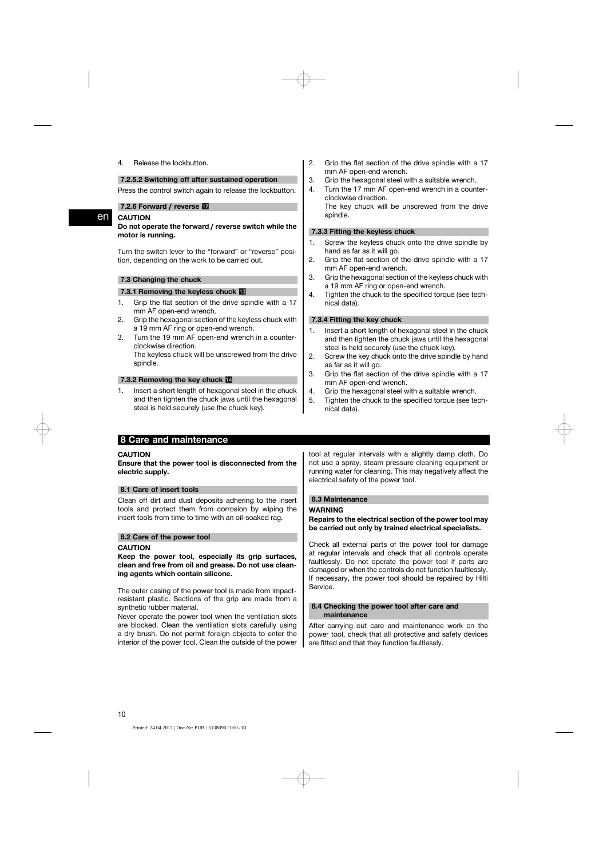4. Release the lockbutton.

### **7.2.5.2 Switching off after sustained operation**

Press the control switch again to release the lockbutton.

## **7.2.6 Forward / reverse** 12

# en

**CAUTION**

## **Do not operate the forward / reverse switch while the motor is running.**

Turn the switch lever to the "forward" or "reverse" position, depending on the work to be carried out.

# **7.3 Changing the chuck**

# **7.3.1 Removing the keyless chuck 13**

- 1. Grip the flat section of the drive spindle with a 17 mm AF open-end wrench.
- 2. Grip the hexagonal section of the keyless chuck with a 19 mm AF ring or open-end wrench.
- 3. Turn the 19 mm AF open-end wrench in a counterclockwise direction. The keyless chuck will be unscrewed from the drive spindle.

# **7.3.2 Removing the key chuck** <sup>14</sup>

- 1. Insert a short length of hexagonal steel in the chuck and then tighten the chuck jaws until the hexagonal steel is held securely (use the chuck key).
- **8 Care and maintenance**

# **CAUTION**

**Ensure that the power tool is disconnected from the electric supply.**

# **8.1 Care of insert tools**

Clean off dirt and dust deposits adhering to the insert tools and protect them from corrosion by wiping the insert tools from time to time with an oil-soaked rag.

# **8.2 Care of the power tool**

# **CAUTION**

**Keep the power tool, especially its grip surfaces, clean and free from oil and grease. Do not use cleaning agents which contain silicone.**

The outer casing of the power tool is made from impactresistant plastic. Sections of the grip are made from a synthetic rubber material.

Never operate the power tool when the ventilation slots are blocked. Clean the ventilation slots carefully using a dry brush. Do not permit foreign objects to enter the interior of the power tool. Clean the outside of the power

- 2. Grip the flat section of the drive spindle with a 17 mm AF open-end wrench.
- 3. Grip the hexagonal steel with a suitable wrench.<br>4 Turn the 17 mm AF open-end wrench in a count
- Turn the 17 mm AF open-end wrench in a counterclockwise direction. The key chuck will be unscrewed from the drive spindle.

# **7.3.3 Fitting the keyless chuck**

- 1. Screw the keyless chuck onto the drive spindle by hand as far as it will go.
- 2. Grip the flat section of the drive spindle with a 17 mm AF open-end wrench.
- 3. Grip the hexagonal section of the keyless chuck with a 19 mm AF ring or open-end wrench.
- 4. Tighten the chuck to the specified torque (see technical data).

# **7.3.4 Fitting the key chuck**

- 1. Insert a short length of hexagonal steel in the chuck and then tighten the chuck jaws until the hexagonal steel is held securely (use the chuck key).
- 2. Screw the key chuck onto the drive spindle by hand as far as it will go.
- 3. Grip the flat section of the drive spindle with a 17 mm AF open-end wrench.
- 4. Grip the hexagonal steel with a suitable wrench.<br>5. Tighten the chuck to the specified torque (see te
- 5. Tighten the chuck to the specified torque (see technical data).

tool at regular intervals with a slightly damp cloth. Do not use a spray, steam pressure cleaning equipment or running water for cleaning. This may negatively affect the electrical safety of the power tool.

# **8.3 Maintenance**

# **WARNING**

# **Repairs to the electrical section of the power tool may be carried out only by trained electrical specialists.**

Check all external parts of the power tool for damage at regular intervals and check that all controls operate faultlessly. Do not operate the power tool if parts are damaged or when the controls do not function faultlessly. If necessary, the power tool should be repaired by Hilti Service.

#### **8.4 Checking the power tool after care and maintenance**

After carrying out care and maintenance work on the power tool, check that all protective and safety devices are fitted and that they function faultlessly.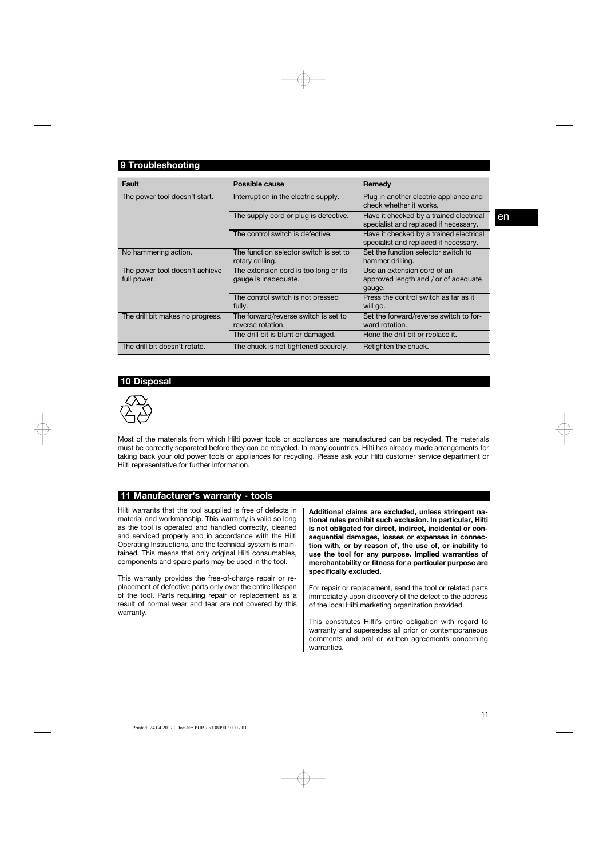# **9 Troubleshooting**

| <b>Fault</b>                                  | Possible cause                                                | Remedy                                                                           |
|-----------------------------------------------|---------------------------------------------------------------|----------------------------------------------------------------------------------|
| The power tool doesn't start.                 | Interruption in the electric supply.                          | Plug in another electric appliance and<br>check whether it works.                |
|                                               | The supply cord or plug is defective.                         | Have it checked by a trained electrical<br>specialist and replaced if necessary. |
|                                               | The control switch is defective.                              | Have it checked by a trained electrical<br>specialist and replaced if necessary. |
| No hammering action.                          | The function selector switch is set to<br>rotary drilling.    | Set the function selector switch to<br>hammer drilling.                          |
| The power tool doesn't achieve<br>full power. | The extension cord is too long or its<br>gauge is inadequate. | Use an extension cord of an<br>approved length and / or of adequate<br>gauge.    |
|                                               | The control switch is not pressed<br>fully.                   | Press the control switch as far as it<br>will go.                                |
| The drill bit makes no progress.              | The forward/reverse switch is set to<br>reverse rotation.     | Set the forward/reverse switch to for-<br>ward rotation.                         |
|                                               | The drill bit is blunt or damaged.                            | Hone the drill bit or replace it.                                                |
| The drill bit doesn't rotate.                 | The chuck is not tightened securely.                          | Retighten the chuck.                                                             |

# **10 Disposal**



Most of the materials from which Hilti power tools or appliances are manufactured can be recycled. The materials must be correctly separated before they can be recycled. In many countries, Hilti has already made arrangements for taking back your old power tools or appliances for recycling. Please ask your Hilti customer service department or Hilti representative for further information.

# **11 Manufacturer's warranty - tools**

Hilti warrants that the tool supplied is free of defects in material and workmanship. This warranty is valid so long as the tool is operated and handled correctly, cleaned and serviced properly and in accordance with the Hilti Operating Instructions, and the technical system is maintained. This means that only original Hilti consumables, components and spare parts may be used in the tool.

This warranty provides the free-of-charge repair or replacement of defective parts only over the entire lifespan of the tool. Parts requiring repair or replacement as a result of normal wear and tear are not covered by this warranty.

**Additional claims are excluded, unless stringent national rules prohibit such exclusion. In particular, Hilti is not obligated for direct, indirect, incidental or consequential damages, losses or expenses in connection with, or by reason of, the use of, or inability to use the tool for any purpose. Implied warranties of merchantability or fitness for a particular purpose are specifically excluded.**

For repair or replacement, send the tool or related parts immediately upon discovery of the defect to the address of the local Hilti marketing organization provided.

This constitutes Hilti's entire obligation with regard to warranty and supersedes all prior or contemporaneous comments and oral or written agreements concerning warranties.